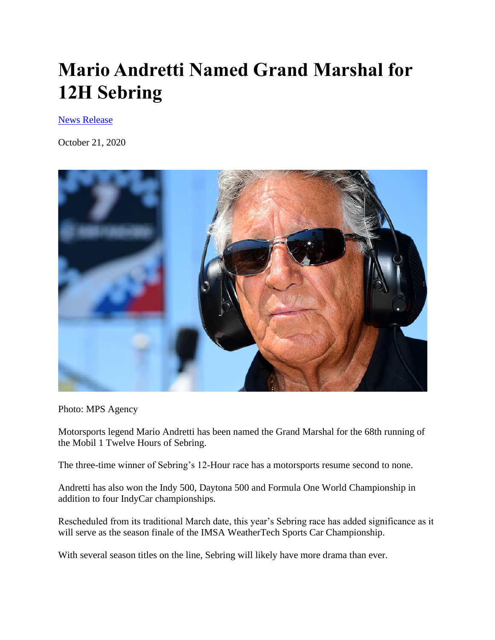## **Mario Andretti Named Grand Marshal for 12H Sebring**

[News Release](https://sportscar365.com/author/news-release/)

October 21, 2020



Photo: MPS Agency

Motorsports legend Mario Andretti has been named the Grand Marshal for the 68th running of the Mobil 1 Twelve Hours of Sebring.

The three-time winner of Sebring's 12-Hour race has a motorsports resume second to none.

Andretti has also won the Indy 500, Daytona 500 and Formula One World Championship in addition to four IndyCar championships.

Rescheduled from its traditional March date, this year's Sebring race has added significance as it will serve as the season finale of the IMSA WeatherTech Sports Car Championship.

With several season titles on the line, Sebring will likely have more drama than ever.